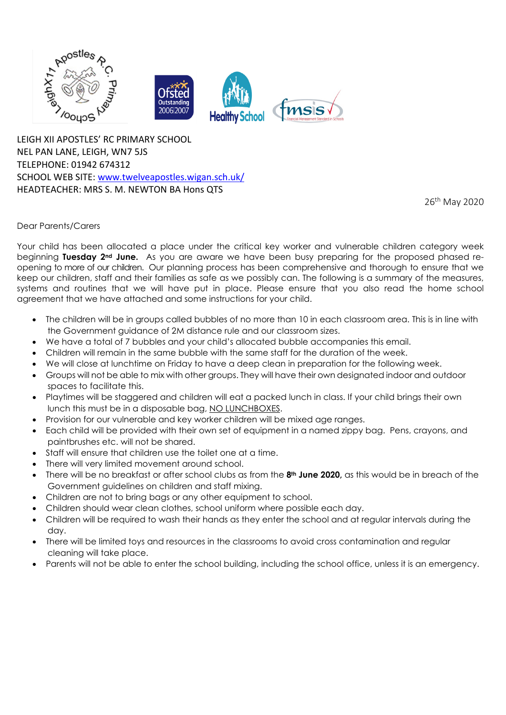

LEIGH XII APOSTLES' RC PRIMARY SCHOOL NEL PAN LANE, LEIGH, WN7 5JS TELEPHONE: 01942 674312 SCHOOL WEB SITE: [www.twelveapostles.wigan.sch.uk/](http://www.twelveapostles.wigan.sch.uk/) HEADTEACHER: MRS S. M. NEWTON BA Hons QTS

26th May 2020

## Dear Parents/Carers

Your child has been allocated a place under the critical key worker and vulnerable children category week beginning **Tuesday 2nd June.** As you are aware we have been busy preparing for the proposed phased reopening to more of our children. Our planning process has been comprehensive and thorough to ensure that we keep our children, staff and their families as safe as we possibly can. The following is a summary of the measures, systems and routines that we will have put in place. Please ensure that you also read the home school agreement that we have attached and some instructions for your child.

- The children will be in groups called bubbles of no more than 10 in each classroom area. This is in line with the Government guidance of 2M distance rule and our classroom sizes.
- We have a total of 7 bubbles and your child's allocated bubble accompanies this email.
- Children will remain in the same bubble with the same staff for the duration of the week.
- We will close at lunchtime on Friday to have a deep clean in preparation for the following week.
- Groups will not be able to mix with other groups. They will have their own designated indoor and outdoor spaces to facilitate this.
- Playtimes will be staggered and children will eat a packed lunch in class. If your child brings their own lunch this must be in a disposable bag, NO LUNCHBOXES.
- Provision for our vulnerable and key worker children will be mixed age ranges.
- Each child will be provided with their own set of equipment in a named zippy bag. Pens, crayons, and paintbrushes etc. will not be shared.
- Staff will ensure that children use the toilet one at a time.
- There will very limited movement around school.
- There will be no breakfast or after school clubs as from the **8th June 2020,** as this would be in breach of the Government guidelines on children and staff mixing.
- Children are not to bring bags or any other equipment to school.
- Children should wear clean clothes, school uniform where possible each day.
- Children will be required to wash their hands as they enter the school and at regular intervals during the day.
- There will be limited toys and resources in the classrooms to avoid cross contamination and regular cleaning will take place.
- Parents will not be able to enter the school building, including the school office, unless it is an emergency.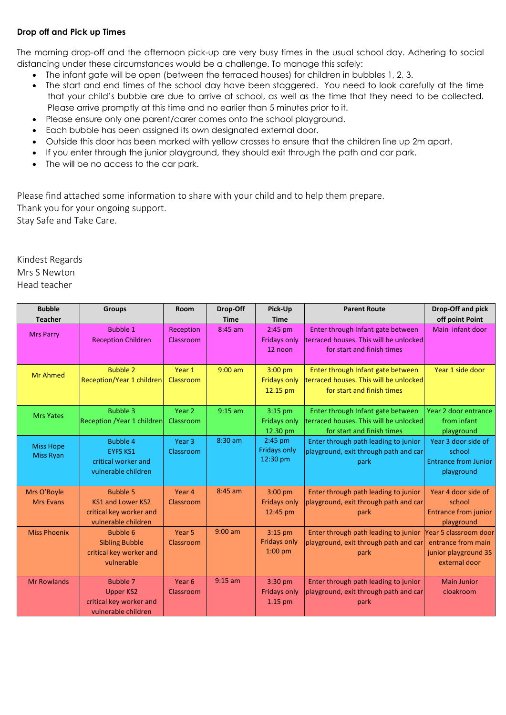## **Drop off and Pick up Times**

The morning drop-off and the afternoon pick-up are very busy times in the usual school day. Adhering to social distancing under these circumstances would be a challenge. To manage this safely:

- The infant gate will be open (between the terraced houses) for children in bubbles 1, 2, 3.
- The start and end times of the school day have been staggered. You need to look carefully at the time that your child's bubble are due to arrive at school, as well as the time that they need to be collected. Please arrive promptly at this time and no earlier than 5 minutes prior to it.
- Please ensure only one parent/carer comes onto the school playground.
- Each bubble has been assigned its own designated external door.
- Outside this door has been marked with yellow crosses to ensure that the children line up 2m apart.
- If you enter through the junior playground, they should exit through the path and car park.
- The will be no access to the car park.

Please find attached some information to share with your child and to help them prepare. Thank you for your ongoing support. Stay Safe and Take Care.

Kindest Regards Mrs S Newton Head teacher

| <b>Bubble</b>                        | <b>Groups</b>                                                                                 | Room                           | Drop-Off    | Pick-Up                                       | <b>Parent Route</b>                                                                                       | Drop-Off and pick                                                                    |
|--------------------------------------|-----------------------------------------------------------------------------------------------|--------------------------------|-------------|-----------------------------------------------|-----------------------------------------------------------------------------------------------------------|--------------------------------------------------------------------------------------|
| <b>Teacher</b>                       |                                                                                               |                                | <b>Time</b> | <b>Time</b>                                   |                                                                                                           | off point Point                                                                      |
| <b>Mrs Parry</b>                     | <b>Bubble 1</b><br><b>Reception Children</b>                                                  | Reception<br>Classroom         | $8:45$ am   | $2:45$ pm<br><b>Fridays only</b><br>12 noon   | Enter through Infant gate between<br>terraced houses. This will be unlocked<br>for start and finish times | Main infant door                                                                     |
| <b>Mr Ahmed</b>                      | <b>Bubble 2</b><br>Reception/Year 1 children                                                  | Year 1<br>Classroom            | $9:00$ am   | $3:00$ pm<br><b>Fridays only</b><br>12.15 pm  | Enter through Infant gate between<br>terraced houses. This will be unlocked<br>for start and finish times | Year 1 side door                                                                     |
| <b>Mrs Yates</b>                     | <b>Bubble 3</b><br><b>Reception / Year 1 children</b>                                         | Year 2<br>Classroom            | $9:15$ am   | $3:15$ pm<br><b>Fridays only</b><br>12.30 pm  | Enter through Infant gate between<br>terraced houses. This will be unlocked<br>for start and finish times | Year 2 door entrance<br>from infant<br>playground                                    |
| <b>Miss Hope</b><br><b>Miss Ryan</b> | <b>Bubble 4</b><br><b>EYFS KS1</b><br>critical worker and<br>vulnerable children              | Year <sub>3</sub><br>Classroom | 8:30 am     | 2:45 pm<br><b>Fridays only</b><br>12:30 pm    | Enter through path leading to junior<br>playground, exit through path and car<br>park                     | Year 3 door side of<br>school<br><b>Entrance from Junior</b><br>playground           |
| Mrs O'Boyle<br><b>Mrs Evans</b>      | <b>Bubble 5</b><br><b>KS1 and Lower KS2</b><br>critical key worker and<br>vulnerable children | Year 4<br>Classroom            | $8:45$ am   | $3:00$ pm<br><b>Fridays only</b><br>12:45 pm  | Enter through path leading to junior<br>playground, exit through path and car<br>park                     | Year 4 door side of<br>school<br><b>Entrance from junior</b><br>playground           |
| <b>Miss Phoenix</b>                  | <b>Bubble 6</b><br><b>Sibling Bubble</b><br>critical key worker and<br>vulnerable             | Year <sub>5</sub><br>Classroom | $9:00$ am   | $3:15$ pm<br><b>Fridays only</b><br>$1:00$ pm | Enter through path leading to junior<br>playground, exit through path and car<br>park                     | Year 5 classroom door<br>entrance from main<br>junior playground 3S<br>external door |
| <b>Mr Rowlands</b>                   | <b>Bubble 7</b><br><b>Upper KS2</b><br>critical key worker and<br>vulnerable children         | Year <sub>6</sub><br>Classroom | $9:15$ am   | $3:30$ pm<br><b>Fridays only</b><br>$1.15$ pm | Enter through path leading to junior<br>playground, exit through path and car<br>park                     | <b>Main Junior</b><br>cloakroom                                                      |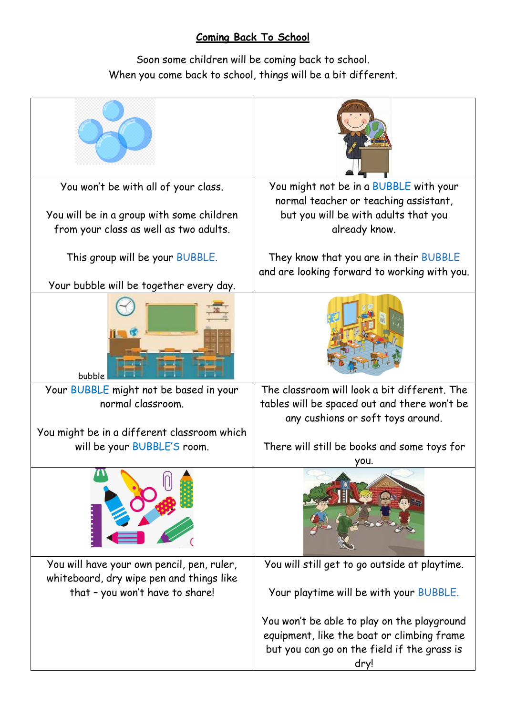## **Coming Back To School**

Soon some children will be coming back to school. When you come back to school, things will be a bit different.

| You won't be with all of your class.                                                | You might not be in a BUBBLE with your                                                         |  |  |  |
|-------------------------------------------------------------------------------------|------------------------------------------------------------------------------------------------|--|--|--|
| You will be in a group with some children<br>from your class as well as two adults. | normal teacher or teaching assistant,<br>but you will be with adults that you<br>already know. |  |  |  |
| This group will be your BUBBLE.                                                     | They know that you are in their BUBBLE                                                         |  |  |  |
|                                                                                     | and are looking forward to working with you.                                                   |  |  |  |
| Your bubble will be together every day.                                             |                                                                                                |  |  |  |
|                                                                                     |                                                                                                |  |  |  |
| bubble                                                                              |                                                                                                |  |  |  |
| Your BUBBLE might not be based in your                                              | The classroom will look a bit different. The                                                   |  |  |  |
| normal classroom.                                                                   | tables will be spaced out and there won't be<br>any cushions or soft toys around.              |  |  |  |
| You might be in a different classroom which                                         |                                                                                                |  |  |  |
| will be your BUBBLE'S room.                                                         | There will still be books and some toys for<br>you.                                            |  |  |  |
|                                                                                     |                                                                                                |  |  |  |
| You will have your own pencil, pen, ruler,                                          | You will still get to go outside at playtime.                                                  |  |  |  |
| whiteboard, dry wipe pen and things like                                            |                                                                                                |  |  |  |
| that - you won't have to share!                                                     | Your playtime will be with your BUBBLE.                                                        |  |  |  |
|                                                                                     | You won't be able to play on the playground                                                    |  |  |  |
|                                                                                     |                                                                                                |  |  |  |
|                                                                                     | equipment, like the boat or climbing frame                                                     |  |  |  |
|                                                                                     | but you can go on the field if the grass is                                                    |  |  |  |